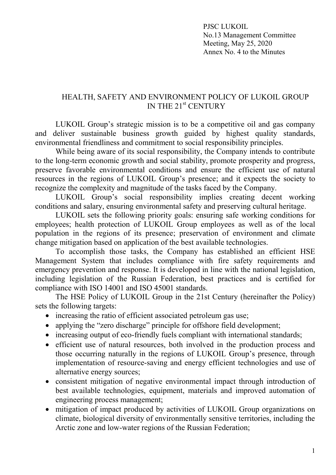PJSC LUKOIL No.13 Management Committee Meeting, May 25, 2020 Annex No. 4 to the Minutes

## HEALTH, SAFETY AND ENVIRONMENT POLICY OF LUKOIL GROUP IN THE 21st CENTURY

LUKOIL Group's strategic mission is to be a competitive oil and gas company and deliver sustainable business growth guided by highest quality standards, environmental friendliness and commitment to social responsibility principles.

While being aware of its social responsibility, the Company intends to contribute to the long-term economic growth and social stability, promote prosperity and progress, preserve favorable environmental conditions and ensure the efficient use of natural resources in the regions of LUKOIL Group's presence; and it expects the society to recognize the complexity and magnitude of the tasks faced by the Company.

LUKOIL Group's social responsibility implies creating decent working conditions and salary, ensuring environmental safety and preserving cultural heritage.

LUKOIL sets the following priority goals: ensuring safe working conditions for employees; health protection of LUKOIL Group employees as well as of the local population in the regions of its presence; preservation of environment and climate change mitigation based on application of the best available technologies.

To accomplish those tasks, the Company has established an efficient HSE Management System that includes compliance with fire safety requirements and emergency prevention and response. It is developed in line with the national legislation, including legislation of the Russian Federation, best practices and is certified for compliance with ISO 14001 and ISO 45001 standards.

The HSE Policy of LUKOIL Group in the 21st Century (hereinafter the Policy) sets the following targets:

- increasing the ratio of efficient associated petroleum gas use;
- applying the "zero discharge" principle for offshore field development;
- increasing output of eco-friendly fuels compliant with international standards;
- efficient use of natural resources, both involved in the production process and those occurring naturally in the regions of LUKOIL Group's presence, through implementation of resource-saving and energy efficient technologies and use of alternative energy sources;
- consistent mitigation of negative environmental impact through introduction of best available technologies, equipment, materials and improved automation of engineering process management;
- mitigation of impact produced by activities of LUKOIL Group organizations on climate, biological diversity of environmentally sensitive territories, including the Arctic zone and low-water regions of the Russian Federation;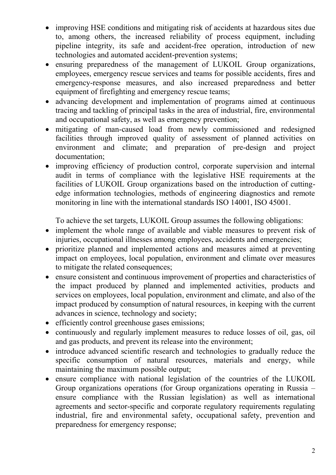- improving HSE conditions and mitigating risk of accidents at hazardous sites due to, among others, the increased reliability of process equipment, including pipeline integrity, its safe and accident-free operation, introduction of new technologies and automated accident-prevention systems;
- ensuring preparedness of the management of LUKOIL Group organizations, employees, emergency rescue services and teams for possible accidents, fires and emergency-response measures, and also increased preparedness and better equipment of firefighting and emergency rescue teams;
- advancing development and implementation of programs aimed at continuous tracing and tackling of principal tasks in the area of industrial, fire, environmental and occupational safety, as well as emergency prevention;
- mitigating of man-caused load from newly commissioned and redesigned facilities through improved quality of assessment of planned activities on environment and climate; and preparation of pre-design and project documentation;
- improving efficiency of production control, corporate supervision and internal audit in terms of compliance with the legislative HSE requirements at the facilities of LUKOIL Group organizations based on the introduction of cuttingedge information technologies, methods of engineering diagnostics and remote monitoring in line with the international standards ISO 14001, ISO 45001.

To achieve the set targets, LUKOIL Group assumes the following obligations:

- implement the whole range of available and viable measures to prevent risk of injuries, occupational illnesses among employees, accidents and emergencies;
- prioritize planned and implemented actions and measures aimed at preventing impact on employees, local population, environment and climate over measures to mitigate the related consequences;
- ensure consistent and continuous improvement of properties and characteristics of the impact produced by planned and implemented activities, products and services on employees, local population, environment and climate, and also of the impact produced by consumption of natural resources, in keeping with the current advances in science, technology and society;
- efficiently control greenhouse gases emissions;
- continuously and regularly implement measures to reduce losses of oil, gas, oil and gas products, and prevent its release into the environment;
- introduce advanced scientific research and technologies to gradually reduce the specific consumption of natural resources, materials and energy, while maintaining the maximum possible output;
- ensure compliance with national legislation of the countries of the LUKOIL Group organizations operations (for Group organizations operating in Russia – ensure compliance with the Russian legislation) as well as international agreements and sector-specific and corporate regulatory requirements regulating industrial, fire and environmental safety, occupational safety, prevention and preparedness for emergency response;